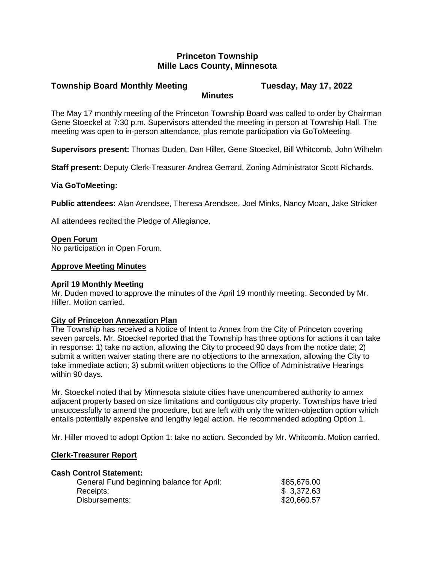# **Princeton Township Mille Lacs County, Minnesota**

### **Township Board Monthly Meeting Tuesday, May 17, 2022 Minutes**

The May 17 monthly meeting of the Princeton Township Board was called to order by Chairman Gene Stoeckel at 7:30 p.m. Supervisors attended the meeting in person at Township Hall. The meeting was open to in-person attendance, plus remote participation via GoToMeeting.

**Supervisors present:** Thomas Duden, Dan Hiller, Gene Stoeckel, Bill Whitcomb, John Wilhelm

**Staff present:** Deputy Clerk-Treasurer Andrea Gerrard, Zoning Administrator Scott Richards.

## **Via GoToMeeting:**

**Public attendees:** Alan Arendsee, Theresa Arendsee, Joel Minks, Nancy Moan, Jake Stricker

All attendees recited the Pledge of Allegiance.

## **Open Forum**

No participation in Open Forum.

# **Approve Meeting Minutes**

## **April 19 Monthly Meeting**

Mr. Duden moved to approve the minutes of the April 19 monthly meeting. Seconded by Mr. Hiller. Motion carried.

## **City of Princeton Annexation Plan**

The Township has received a Notice of Intent to Annex from the City of Princeton covering seven parcels. Mr. Stoeckel reported that the Township has three options for actions it can take in response: 1) take no action, allowing the City to proceed 90 days from the notice date; 2) submit a written waiver stating there are no objections to the annexation, allowing the City to take immediate action; 3) submit written objections to the Office of Administrative Hearings within 90 days.

Mr. Stoeckel noted that by Minnesota statute cities have unencumbered authority to annex adjacent property based on size limitations and contiguous city property. Townships have tried unsuccessfully to amend the procedure, but are left with only the written-objection option which entails potentially expensive and lengthy legal action. He recommended adopting Option 1.

Mr. Hiller moved to adopt Option 1: take no action. Seconded by Mr. Whitcomb. Motion carried.

## **Clerk-Treasurer Report**

#### **Cash Control Statement:**

| General Fund beginning balance for April: | \$85,676.00 |
|-------------------------------------------|-------------|
| Receipts:                                 | \$3,372.63  |
| Disbursements:                            | \$20,660.57 |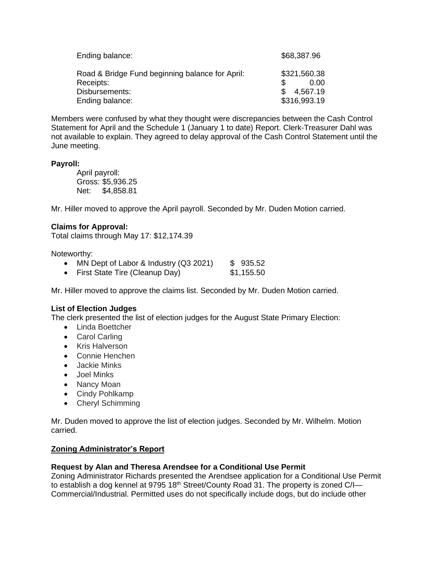| Ending balance:                                 | \$68,387.96  |
|-------------------------------------------------|--------------|
| Road & Bridge Fund beginning balance for April: | \$321,560.38 |
| Receipts:                                       | 0.00         |
| Disbursements:                                  | 4.567.19     |
| Ending balance:                                 | \$316,993.19 |

Members were confused by what they thought were discrepancies between the Cash Control Statement for April and the Schedule 1 (January 1 to date) Report. Clerk-Treasurer Dahl was not available to explain. They agreed to delay approval of the Cash Control Statement until the June meeting.

# **Payroll:**

April payroll: Gross: \$5,936.25 Net: \$4,858.81

Mr. Hiller moved to approve the April payroll. Seconded by Mr. Duden Motion carried.

# **Claims for Approval:**

Total claims through May 17: \$12,174.39

Noteworthy:

- MN Dept of Labor & Industry  $(Q3 2021)$  \$ 935.52
- First State Tire (Cleanup Day) \$1,155.50

Mr. Hiller moved to approve the claims list. Seconded by Mr. Duden Motion carried.

# **List of Election Judges**

The clerk presented the list of election judges for the August State Primary Election:

- Linda Boettcher
- Carol Carling
- Kris Halverson
- Connie Henchen
- Jackie Minks
- Joel Minks
- Nancy Moan
- Cindy Pohlkamp
- Cheryl Schimming

Mr. Duden moved to approve the list of election judges. Seconded by Mr. Wilhelm. Motion carried.

# **Zoning Administrator's Report**

# **Request by Alan and Theresa Arendsee for a Conditional Use Permit**

Zoning Administrator Richards presented the Arendsee application for a Conditional Use Permit to establish a dog kennel at 9795 18<sup>th</sup> Street/County Road 31. The property is zoned C/I-Commercial/Industrial. Permitted uses do not specifically include dogs, but do include other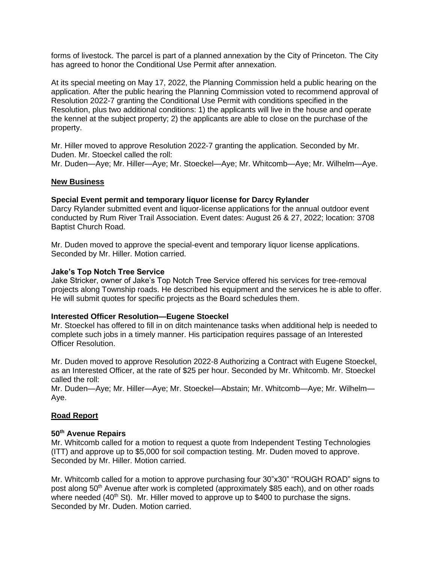forms of livestock. The parcel is part of a planned annexation by the City of Princeton. The City has agreed to honor the Conditional Use Permit after annexation.

At its special meeting on May 17, 2022, the Planning Commission held a public hearing on the application. After the public hearing the Planning Commission voted to recommend approval of Resolution 2022-7 granting the Conditional Use Permit with conditions specified in the Resolution, plus two additional conditions: 1) the applicants will live in the house and operate the kennel at the subject property; 2) the applicants are able to close on the purchase of the property.

Mr. Hiller moved to approve Resolution 2022-7 granting the application. Seconded by Mr. Duden. Mr. Stoeckel called the roll: Mr. Duden—Aye; Mr. Hiller—Aye; Mr. Stoeckel—Aye; Mr. Whitcomb—Aye; Mr. Wilhelm—Aye.

## **New Business**

### **Special Event permit and temporary liquor license for Darcy Rylander**

Darcy Rylander submitted event and liquor-license applications for the annual outdoor event conducted by Rum River Trail Association. Event dates: August 26 & 27, 2022; location: 3708 Baptist Church Road.

Mr. Duden moved to approve the special-event and temporary liquor license applications. Seconded by Mr. Hiller. Motion carried.

#### **Jake's Top Notch Tree Service**

Jake Stricker, owner of Jake's Top Notch Tree Service offered his services for tree-removal projects along Township roads. He described his equipment and the services he is able to offer. He will submit quotes for specific projects as the Board schedules them.

#### **Interested Officer Resolution—Eugene Stoeckel**

Mr. Stoeckel has offered to fill in on ditch maintenance tasks when additional help is needed to complete such jobs in a timely manner. His participation requires passage of an Interested Officer Resolution.

Mr. Duden moved to approve Resolution 2022-8 Authorizing a Contract with Eugene Stoeckel, as an Interested Officer, at the rate of \$25 per hour. Seconded by Mr. Whitcomb. Mr. Stoeckel called the roll:

Mr. Duden—Aye; Mr. Hiller—Aye; Mr. Stoeckel—Abstain; Mr. Whitcomb—Aye; Mr. Wilhelm— Aye.

## **Road Report**

### **50th Avenue Repairs**

Mr. Whitcomb called for a motion to request a quote from Independent Testing Technologies (ITT) and approve up to \$5,000 for soil compaction testing. Mr. Duden moved to approve. Seconded by Mr. Hiller. Motion carried.

Mr. Whitcomb called for a motion to approve purchasing four 30"x30" "ROUGH ROAD" signs to post along 50<sup>th</sup> Avenue after work is completed (approximately \$85 each), and on other roads where needed  $(40<sup>th</sup>$  St). Mr. Hiller moved to approve up to \$400 to purchase the signs. Seconded by Mr. Duden. Motion carried.